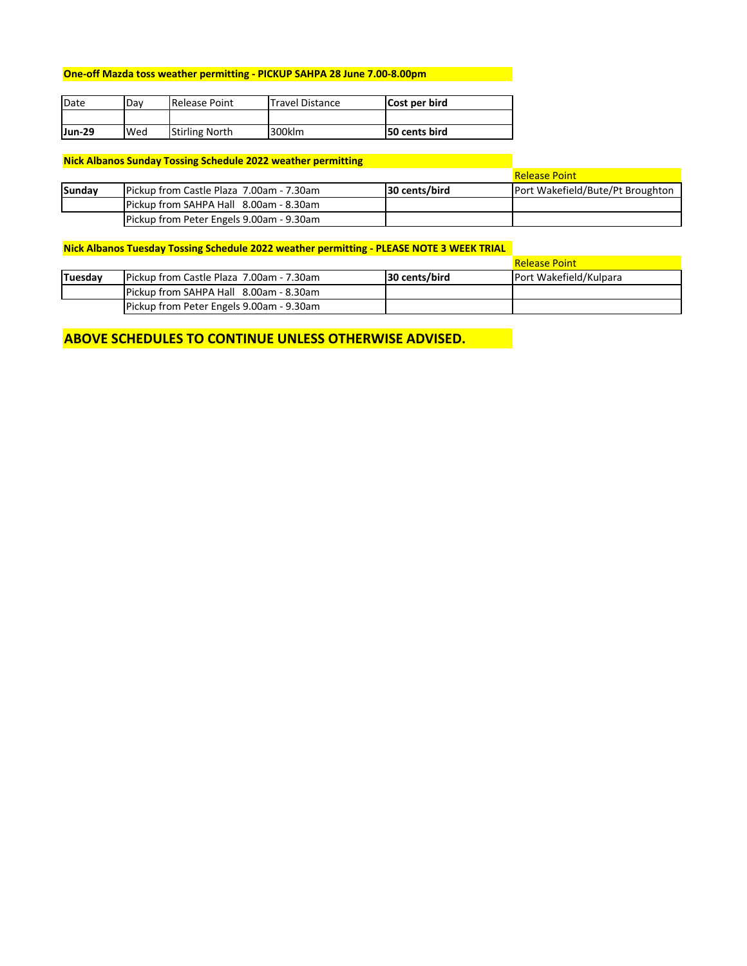### **One‐off Mazda toss weather permitting ‐ PICKUP SAHPA 28 June 7.00‐8.00pm**

| <b>IDate</b> | Dav | Release Point         | <b>Travel Distance</b> | Cost per bird        |  |  |
|--------------|-----|-----------------------|------------------------|----------------------|--|--|
|              |     |                       |                        |                      |  |  |
| Jun-29       | Wed | <b>Stirling North</b> | 300klm                 | <b>50 cents bird</b> |  |  |

### **Nick Albanos Sunday Tossing Schedule 2022 weather permitting**

|        |                                          | <b>Release Point</b> |                                         |  |  |
|--------|------------------------------------------|----------------------|-----------------------------------------|--|--|
| Sundav | Pickup from Castle Plaza 7.00am - 7.30am | 30 cents/bird        | <b>Port Wakefield/Bute/Pt Broughton</b> |  |  |
|        | Pickup from SAHPA Hall 8.00am - 8.30am   |                      |                                         |  |  |
|        | Pickup from Peter Engels 9.00am - 9.30am |                      |                                         |  |  |

### **Nick Albanos Tuesday Tossing Schedule 2022 weather permitting ‐ PLEASE NOTE 3 WEEK TRIAL**

|         |                                          |               | <b>Release Point</b>          |
|---------|------------------------------------------|---------------|-------------------------------|
| Tuesday | Pickup from Castle Plaza 7.00am - 7.30am | 30 cents/bird | <b>Port Wakefield/Kulpara</b> |
|         | Pickup from SAHPA Hall 8.00am - 8.30am   |               |                               |
|         | Pickup from Peter Engels 9.00am - 9.30am |               |                               |

## **ABOVE SCHEDULES TO CONTINUE UNLESS OTHERWISE ADVISED.**